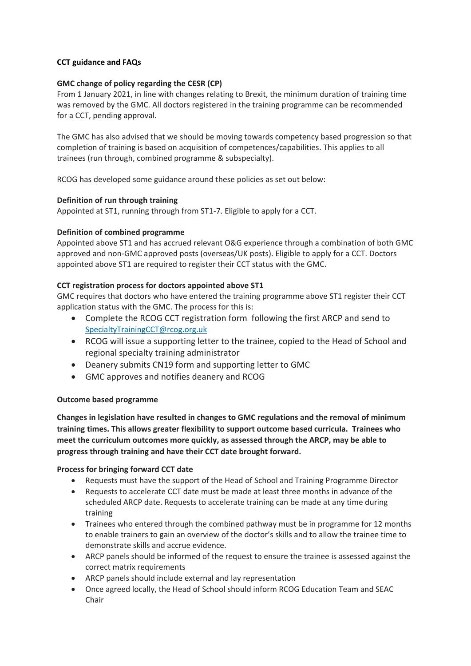## **CCT guidance and FAQs**

## **GMC change of policy regarding the CESR (CP)**

From 1 January 2021, in line with changes relating to Brexit, the minimum duration of training time was removed by the GMC. All doctors registered in the training programme can be recommended for a CCT, pending approval.

The GMC has also advised that we should be moving towards competency based progression so that completion of training is based on acquisition of competences/capabilities. This applies to all trainees (run through, combined programme & subspecialty).

RCOG has developed some guidance around these policies as set out below:

## **Definition of run through training**

Appointed at ST1, running through from ST1-7. Eligible to apply for a CCT.

## **Definition of combined programme**

Appointed above ST1 and has accrued relevant O&G experience through a combination of both GMC approved and non-GMC approved posts (overseas/UK posts). Eligible to apply for a CCT. Doctors appointed above ST1 are required to register their CCT status with the GMC.

## **CCT registration process for doctors appointed above ST1**

GMC requires that doctors who have entered the training programme above ST1 register their CCT application status with the GMC. The process for this is:

- Complete the RCOG CCT registration form following the first ARCP and send to [SpecialtyTrainingCCT@rcog.org.uk](mailto:SpecialtyTrainingCCT@rcog.org.uk)
- RCOG will issue a supporting letter to the trainee, copied to the Head of School and regional specialty training administrator
- Deanery submits CN19 form and supporting letter to GMC
- GMC approves and notifies deanery and RCOG

#### **Outcome based programme**

**Changes in legislation have resulted in changes to GMC regulations and the removal of minimum training times. This allows greater flexibility to support outcome based curricula. Trainees who meet the curriculum outcomes more quickly, as assessed through the ARCP, may be able to progress through training and have their CCT date brought forward.** 

#### **Process for bringing forward CCT date**

- Requests must have the support of the Head of School and Training Programme Director
- Requests to accelerate CCT date must be made at least three months in advance of the scheduled ARCP date. Requests to accelerate training can be made at any time during training
- Trainees who entered through the combined pathway must be in programme for 12 months to enable trainers to gain an overview of the doctor's skills and to allow the trainee time to demonstrate skills and accrue evidence.
- ARCP panels should be informed of the request to ensure the trainee is assessed against the correct matrix requirements
- ARCP panels should include external and lay representation
- Once agreed locally, the Head of School should inform RCOG Education Team and SEAC Chair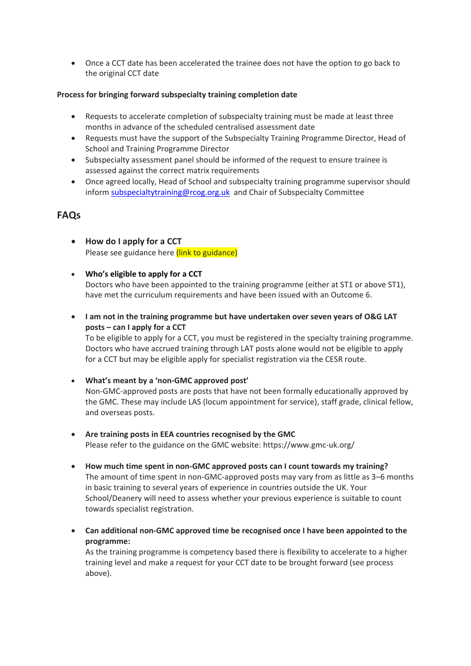Once a CCT date has been accelerated the trainee does not have the option to go back to the original CCT date

## **Process for bringing forward subspecialty training completion date**

- Requests to accelerate completion of subspecialty training must be made at least three months in advance of the scheduled centralised assessment date
- Requests must have the support of the Subspecialty Training Programme Director, Head of School and Training Programme Director
- Subspecialty assessment panel should be informed of the request to ensure trainee is assessed against the correct matrix requirements
- Once agreed locally, Head of School and subspecialty training programme supervisor should infor[m subspecialtytraining@rcog.org.uk](mailto:subspecialtytraining@rcog.org.uk) and Chair of Subspecialty Committee

# **FAQs**

- **How do I apply for a CCT**  Please see guidance here (link to guidance)
- **Who's eligible to apply for a CCT** Doctors who have been appointed to the training programme (either at ST1 or above ST1), have met the curriculum requirements and have been issued with an Outcome 6.
- **I am not in the training programme but have undertaken over seven years of O&G LAT posts – can I apply for a CCT**

To be eligible to apply for a CCT, you must be registered in the specialty training programme. Doctors who have accrued training through LAT posts alone would not be eligible to apply for a CCT but may be eligible apply for specialist registration via the CESR route.

- **What's meant by a 'non-GMC approved post'** Non-GMC-approved posts are posts that have not been formally educationally approved by the GMC. These may include LAS (locum appointment for service), staff grade, clinical fellow, and overseas posts.
- **Are training posts in EEA countries recognised by the GMC** Please refer to the guidance on the GMC website: https://www.gmc-uk.org/
- **How much time spent in non-GMC approved posts can I count towards my training?** The amount of time spent in non-GMC-approved posts may vary from as little as 3–6 months in basic training to several years of experience in countries outside the UK. Your School/Deanery will need to assess whether your previous experience is suitable to count towards specialist registration.
- **Can additional non-GMC approved time be recognised once I have been appointed to the programme:**

As the training programme is competency based there is flexibility to accelerate to a higher training level and make a request for your CCT date to be brought forward (see process above).